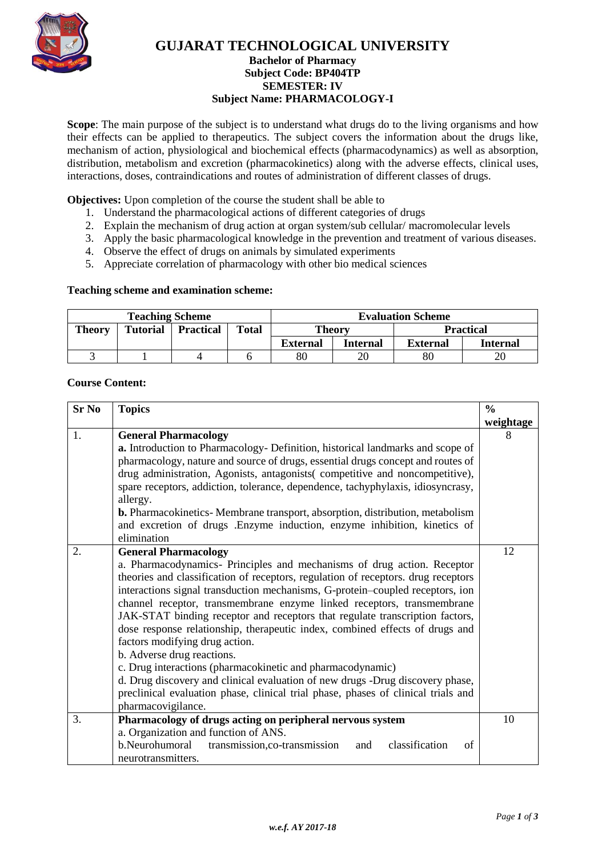

## **GUJARAT TECHNOLOGICAL UNIVERSITY**

### **Bachelor of Pharmacy Subject Code: [BP404TP](javascript:PopupCenter_upload() SEMESTER: IV Subject Name: PHARMACOLOGY-I**

**Scope**: The main purpose of the subject is to understand what drugs do to the living organisms and how their effects can be applied to therapeutics. The subject covers the information about the drugs like, mechanism of action, physiological and biochemical effects (pharmacodynamics) as well as absorption, distribution, metabolism and excretion (pharmacokinetics) along with the adverse effects, clinical uses, interactions, doses, contraindications and routes of administration of different classes of drugs.

**Objectives:** Upon completion of the course the student shall be able to

- 1. Understand the pharmacological actions of different categories of drugs
- 2. Explain the mechanism of drug action at organ system/sub cellular/ macromolecular levels
- 3. Apply the basic pharmacological knowledge in the prevention and treatment of various diseases.
- 4. Observe the effect of drugs on animals by simulated experiments
- 5. Appreciate correlation of pharmacology with other bio medical sciences

#### **Teaching scheme and examination scheme:**

| <b>Teaching Scheme</b> |                 |                  |              | <b>Evaluation Scheme</b>          |          |                 |                 |
|------------------------|-----------------|------------------|--------------|-----------------------------------|----------|-----------------|-----------------|
| <b>Theory</b>          | <b>Tutorial</b> | <b>Practical</b> | <b>Total</b> | <b>Theory</b><br><b>Practical</b> |          |                 |                 |
|                        |                 |                  |              | <b>External</b>                   | Internal | <b>External</b> | <b>Internal</b> |
|                        |                 |                  |              | 80                                |          | 80              | 20              |

#### **Course Content:**

| <b>Sr No</b> | <b>Topics</b>                                                                                                                                                                                                                                                                                                                                                                                                                                                                                                                                                                                                                      | $\frac{0}{0}$ |  |  |  |  |
|--------------|------------------------------------------------------------------------------------------------------------------------------------------------------------------------------------------------------------------------------------------------------------------------------------------------------------------------------------------------------------------------------------------------------------------------------------------------------------------------------------------------------------------------------------------------------------------------------------------------------------------------------------|---------------|--|--|--|--|
|              |                                                                                                                                                                                                                                                                                                                                                                                                                                                                                                                                                                                                                                    | weightage     |  |  |  |  |
| 1.           | <b>General Pharmacology</b>                                                                                                                                                                                                                                                                                                                                                                                                                                                                                                                                                                                                        | 8             |  |  |  |  |
|              | a. Introduction to Pharmacology- Definition, historical landmarks and scope of                                                                                                                                                                                                                                                                                                                                                                                                                                                                                                                                                     |               |  |  |  |  |
|              | pharmacology, nature and source of drugs, essential drugs concept and routes of                                                                                                                                                                                                                                                                                                                                                                                                                                                                                                                                                    |               |  |  |  |  |
|              | drug administration, Agonists, antagonists(competitive and noncompetitive),                                                                                                                                                                                                                                                                                                                                                                                                                                                                                                                                                        |               |  |  |  |  |
|              | spare receptors, addiction, tolerance, dependence, tachyphylaxis, idiosyncrasy,                                                                                                                                                                                                                                                                                                                                                                                                                                                                                                                                                    |               |  |  |  |  |
|              | allergy.                                                                                                                                                                                                                                                                                                                                                                                                                                                                                                                                                                                                                           |               |  |  |  |  |
|              | <b>b.</b> Pharmacokinetics-Membrane transport, absorption, distribution, metabolism                                                                                                                                                                                                                                                                                                                                                                                                                                                                                                                                                |               |  |  |  |  |
|              | and excretion of drugs .Enzyme induction, enzyme inhibition, kinetics of                                                                                                                                                                                                                                                                                                                                                                                                                                                                                                                                                           |               |  |  |  |  |
|              | elimination                                                                                                                                                                                                                                                                                                                                                                                                                                                                                                                                                                                                                        |               |  |  |  |  |
| 2.           | <b>General Pharmacology</b>                                                                                                                                                                                                                                                                                                                                                                                                                                                                                                                                                                                                        | 12            |  |  |  |  |
|              |                                                                                                                                                                                                                                                                                                                                                                                                                                                                                                                                                                                                                                    |               |  |  |  |  |
|              | interactions signal transduction mechanisms, G-protein-coupled receptors, ion<br>channel receptor, transmembrane enzyme linked receptors, transmembrane<br>JAK-STAT binding receptor and receptors that regulate transcription factors,                                                                                                                                                                                                                                                                                                                                                                                            |               |  |  |  |  |
|              |                                                                                                                                                                                                                                                                                                                                                                                                                                                                                                                                                                                                                                    |               |  |  |  |  |
|              |                                                                                                                                                                                                                                                                                                                                                                                                                                                                                                                                                                                                                                    |               |  |  |  |  |
|              |                                                                                                                                                                                                                                                                                                                                                                                                                                                                                                                                                                                                                                    |               |  |  |  |  |
|              | factors modifying drug action.<br>b. Adverse drug reactions.                                                                                                                                                                                                                                                                                                                                                                                                                                                                                                                                                                       |               |  |  |  |  |
|              |                                                                                                                                                                                                                                                                                                                                                                                                                                                                                                                                                                                                                                    |               |  |  |  |  |
|              |                                                                                                                                                                                                                                                                                                                                                                                                                                                                                                                                                                                                                                    |               |  |  |  |  |
|              | d. Drug discovery and clinical evaluation of new drugs -Drug discovery phase,                                                                                                                                                                                                                                                                                                                                                                                                                                                                                                                                                      |               |  |  |  |  |
|              |                                                                                                                                                                                                                                                                                                                                                                                                                                                                                                                                                                                                                                    |               |  |  |  |  |
|              |                                                                                                                                                                                                                                                                                                                                                                                                                                                                                                                                                                                                                                    |               |  |  |  |  |
|              |                                                                                                                                                                                                                                                                                                                                                                                                                                                                                                                                                                                                                                    |               |  |  |  |  |
|              |                                                                                                                                                                                                                                                                                                                                                                                                                                                                                                                                                                                                                                    |               |  |  |  |  |
|              |                                                                                                                                                                                                                                                                                                                                                                                                                                                                                                                                                                                                                                    |               |  |  |  |  |
|              |                                                                                                                                                                                                                                                                                                                                                                                                                                                                                                                                                                                                                                    |               |  |  |  |  |
| 3.           | a. Pharmacodynamics- Principles and mechanisms of drug action. Receptor<br>theories and classification of receptors, regulation of receptors. drug receptors<br>dose response relationship, therapeutic index, combined effects of drugs and<br>c. Drug interactions (pharmacokinetic and pharmacodynamic)<br>preclinical evaluation phase, clinical trial phase, phases of clinical trials and<br>pharmacovigilance.<br>Pharmacology of drugs acting on peripheral nervous system<br>a. Organization and function of ANS.<br>b.Neurohumoral<br>classification<br>transmission, co-transmission<br>of<br>and<br>neurotransmitters. | 10            |  |  |  |  |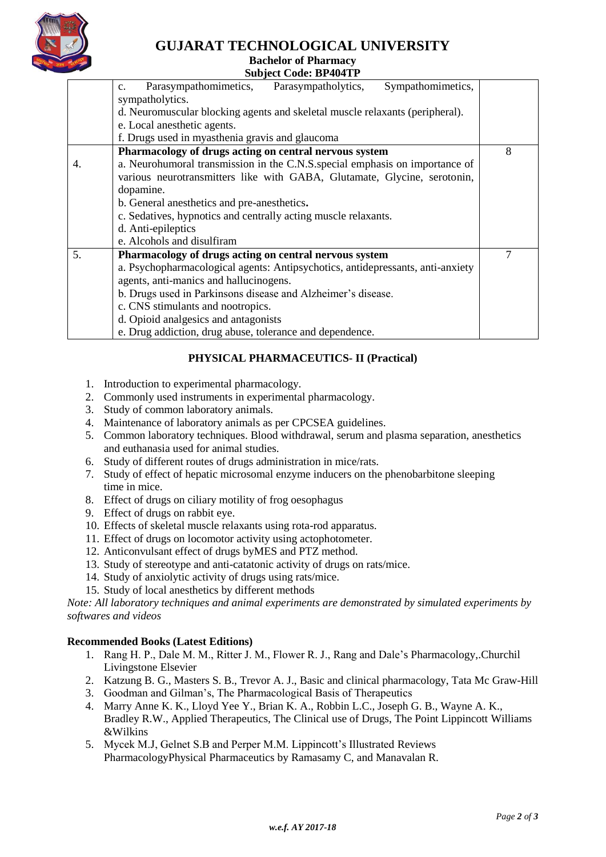

# **GUJARAT TECHNOLOGICAL UNIVERSITY**

## **Bachelor of Pharmacy**

|    | Duchelor of Final mate                                                             |   |  |  |  |  |
|----|------------------------------------------------------------------------------------|---|--|--|--|--|
|    | <b>Subject Code: BP404TP</b>                                                       |   |  |  |  |  |
|    | Parasympathomimetics,<br>Sympathomimetics,<br>Parasympatholytics,<br>$C_{\bullet}$ |   |  |  |  |  |
|    | sympatholytics.                                                                    |   |  |  |  |  |
|    | d. Neuromuscular blocking agents and skeletal muscle relaxants (peripheral).       |   |  |  |  |  |
|    | e. Local anesthetic agents.                                                        |   |  |  |  |  |
|    | f. Drugs used in myasthenia gravis and glaucoma                                    |   |  |  |  |  |
|    | Pharmacology of drugs acting on central nervous system                             | 8 |  |  |  |  |
| 4. | a. Neurohumoral transmission in the C.N.S. special emphasis on importance of       |   |  |  |  |  |
|    | various neurotransmitters like with GABA, Glutamate, Glycine, serotonin,           |   |  |  |  |  |
|    | dopamine.                                                                          |   |  |  |  |  |
|    | b. General anesthetics and pre-anesthetics.                                        |   |  |  |  |  |
|    | c. Sedatives, hypnotics and centrally acting muscle relaxants.                     |   |  |  |  |  |
|    | d. Anti-epileptics                                                                 |   |  |  |  |  |
|    | e. Alcohols and disulfiram                                                         |   |  |  |  |  |
| 5. | Pharmacology of drugs acting on central nervous system                             | 7 |  |  |  |  |
|    | a. Psychopharmacological agents: Antipsychotics, antidepressants, anti-anxiety     |   |  |  |  |  |
|    | agents, anti-manics and hallucinogens.                                             |   |  |  |  |  |
|    | b. Drugs used in Parkinsons disease and Alzheimer's disease.                       |   |  |  |  |  |
|    | c. CNS stimulants and nootropics.                                                  |   |  |  |  |  |
|    | d. Opioid analgesics and antagonists                                               |   |  |  |  |  |
|    | e. Drug addiction, drug abuse, tolerance and dependence.                           |   |  |  |  |  |

## **PHYSICAL PHARMACEUTICS- II (Practical)**

- 1. Introduction to experimental pharmacology.
- 2. Commonly used instruments in experimental pharmacology.
- 3. Study of common laboratory animals.
- 4. Maintenance of laboratory animals as per CPCSEA guidelines.
- 5. Common laboratory techniques. Blood withdrawal, serum and plasma separation, anesthetics and euthanasia used for animal studies.
- 6. Study of different routes of drugs administration in mice/rats.
- 7. Study of effect of hepatic microsomal enzyme inducers on the phenobarbitone sleeping time in mice.
- 8. Effect of drugs on ciliary motility of frog oesophagus
- 9. Effect of drugs on rabbit eye.
- 10. Effects of skeletal muscle relaxants using rota-rod apparatus.
- 11. Effect of drugs on locomotor activity using actophotometer.
- 12. Anticonvulsant effect of drugs byMES and PTZ method.
- 13. Study of stereotype and anti-catatonic activity of drugs on rats/mice.
- 14. Study of anxiolytic activity of drugs using rats/mice.
- 15. Study of local anesthetics by different methods

*Note: All laboratory techniques and animal experiments are demonstrated by simulated experiments by softwares and videos*

#### **Recommended Books (Latest Editions)**

- 1. Rang H. P., Dale M. M., Ritter J. M., Flower R. J., Rang and Dale's Pharmacology,.Churchil Livingstone Elsevier
- 2. Katzung B. G., Masters S. B., Trevor A. J., Basic and clinical pharmacology, Tata Mc Graw-Hill
- 3. Goodman and Gilman's, The Pharmacological Basis of Therapeutics
- 4. Marry Anne K. K., Lloyd Yee Y., Brian K. A., Robbin L.C., Joseph G. B., Wayne A. K., Bradley R.W., Applied Therapeutics, The Clinical use of Drugs, The Point Lippincott Williams &Wilkins
- 5. Mycek M.J, Gelnet S.B and Perper M.M. Lippincott's Illustrated Reviews PharmacologyPhysical Pharmaceutics by Ramasamy C, and Manavalan R.